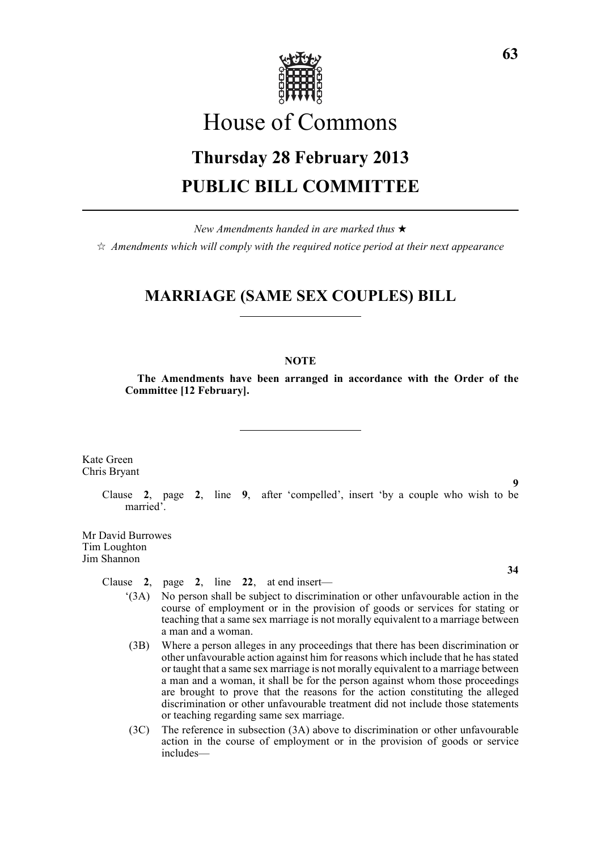

# House of Commons

# **Thursday 28 February 2013 PUBLIC BILL COMMITTEE**

*New Amendments handed in are marked thus* \*

 $\dot{\varphi}$  *Amendments which will comply with the required notice period at their next appearance* 

### **MARRIAGE (SAME SEX COUPLES) BILL**

#### **NOTE**

**The Amendments have been arranged in accordance with the Order of the Committee [12 February].**

Kate Green Chris Bryant

> **9** Clause **2**, page **2**, line **9**, after 'compelled', insert 'by a couple who wish to be married'.

Mr David Burrowes Tim Loughton Jim Shannon

Clause **2**, page **2**, line **22**, at end insert—

- **34**
- '(3A) No person shall be subject to discrimination or other unfavourable action in the course of employment or in the provision of goods or services for stating or teaching that a same sex marriage is not morally equivalent to a marriage between a man and a woman.
- (3B) Where a person alleges in any proceedings that there has been discrimination or other unfavourable action against him for reasons which include that he has stated or taught that a same sex marriage is not morally equivalent to a marriage between a man and a woman, it shall be for the person against whom those proceedings are brought to prove that the reasons for the action constituting the alleged discrimination or other unfavourable treatment did not include those statements or teaching regarding same sex marriage.
- (3C) The reference in subsection (3A) above to discrimination or other unfavourable action in the course of employment or in the provision of goods or service includes—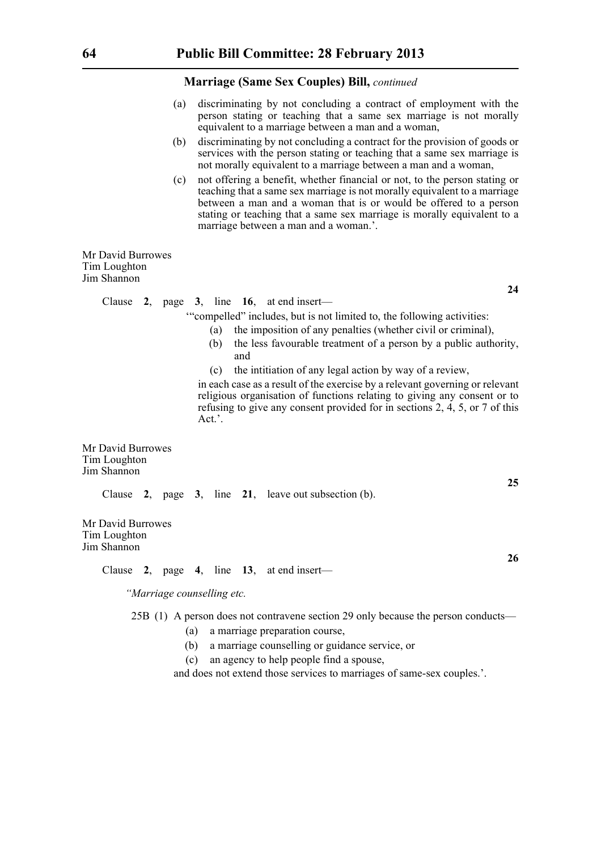- (a) discriminating by not concluding a contract of employment with the person stating or teaching that a same sex marriage is not morally equivalent to a marriage between a man and a woman,
- (b) discriminating by not concluding a contract for the provision of goods or services with the person stating or teaching that a same sex marriage is not morally equivalent to a marriage between a man and a woman,
- (c) not offering a benefit, whether financial or not, to the person stating or teaching that a same sex marriage is not morally equivalent to a marriage between a man and a woman that is or would be offered to a person stating or teaching that a same sex marriage is morally equivalent to a marriage between a man and a woman.'.

Mr David Burrowes Tim Loughton Jim Shannon

Clause **2**, page **3**, line **16**, at end insert—

'"compelled" includes, but is not limited to, the following activities:

- (a) the imposition of any penalties (whether civil or criminal),
- (b) the less favourable treatment of a person by a public authority, and
- (c) the intitiation of any legal action by way of a review,

in each case as a result of the exercise by a relevant governing or relevant religious organisation of functions relating to giving any consent or to refusing to give any consent provided for in sections 2, 4, 5, or 7 of this Act<sup>2</sup>

Mr David Burrowes Tim Loughton Jim Shannon

Clause **2**, page **3**, line **21**, leave out subsection (b).

Mr David Burrowes Tim Loughton Jim Shannon

Clause **2**, page **4**, line **13**, at end insert—

*"Marriage counselling etc.*

25B (1) A person does not contravene section 29 only because the person conducts—

- (a) a marriage preparation course,
- (b) a marriage counselling or guidance service, or
- (c) an agency to help people find a spouse,

and does not extend those services to marriages of same-sex couples.'.

**24**

**25**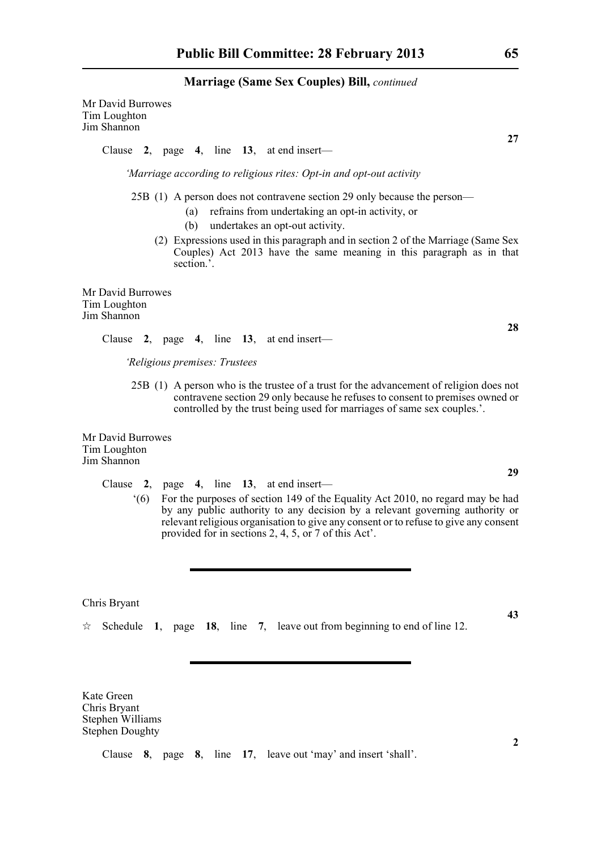Mr David Burrowes Tim Loughton Jim Shannon

Clause **2**, page **4**, line **13**, at end insert—

*'Marriage according to religious rites: Opt-in and opt-out activity*

25B (1) A person does not contravene section 29 only because the person—

- (a) refrains from undertaking an opt-in activity, or
- (b) undertakes an opt-out activity.
- (2) Expressions used in this paragraph and in section 2 of the Marriage (Same Sex Couples) Act 2013 have the same meaning in this paragraph as in that section.'.

Mr David Burrowes Tim Loughton Jim Shannon

Clause **2**, page **4**, line **13**, at end insert—

*'Religious premises: Trustees*

25B (1) A person who is the trustee of a trust for the advancement of religion does not contravene section 29 only because he refuses to consent to premises owned or controlled by the trust being used for marriages of same sex couples.'.

Mr David Burrowes Tim Loughton Jim Shannon

- Clause **2**, page **4**, line **13**, at end insert—
	- '(6) For the purposes of section 149 of the Equality Act 2010, no regard may be had by any public authority to any decision by a relevant governing authority or relevant religious organisation to give any consent or to refuse to give any consent provided for in sections 2, 4, 5, or 7 of this Act'.

Chris Bryant

 $\approx$  Schedule 1, page 18, line 7, leave out from beginning to end of line 12.

Kate Green Chris Bryant Stephen Williams Stephen Doughty

Clause **8**, page **8**, line **17**, leave out 'may' and insert 'shall'.

**2**

**27**

**28**

**43**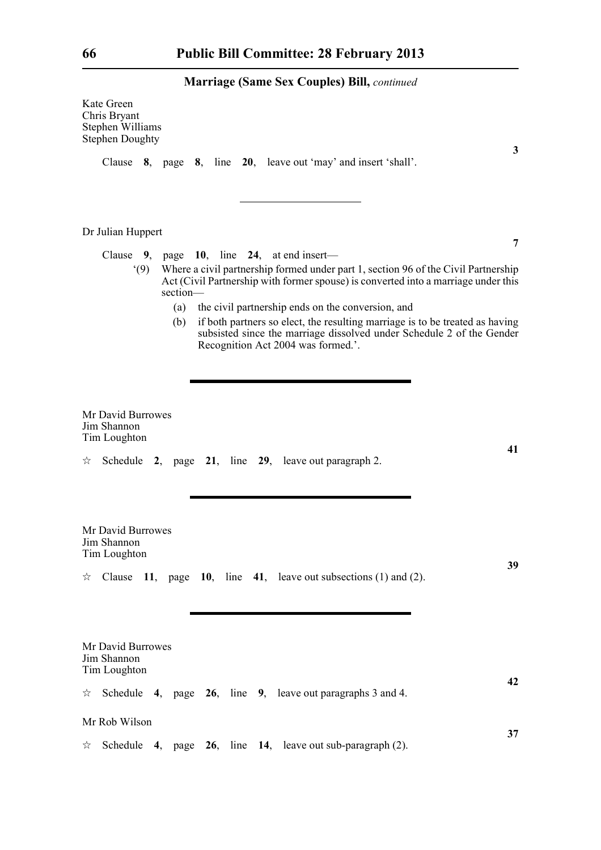|   | Kate Green<br>Chris Bryant<br>Stephen Williams<br><b>Stephen Doughty</b> |            |  |                                                                                         |                                                                                                                                                                          |
|---|--------------------------------------------------------------------------|------------|--|-----------------------------------------------------------------------------------------|--------------------------------------------------------------------------------------------------------------------------------------------------------------------------|
|   |                                                                          |            |  | Clause 8, page 8, line 20, leave out 'may' and insert 'shall'.                          | 3                                                                                                                                                                        |
|   | Dr Julian Huppert                                                        |            |  |                                                                                         |                                                                                                                                                                          |
|   |                                                                          |            |  | Clause 9, page 10, line 24, at end insert—                                              | 7                                                                                                                                                                        |
|   | (9)                                                                      | section-   |  |                                                                                         | Where a civil partnership formed under part 1, section 96 of the Civil Partnership<br>Act (Civil Partnership with former spouse) is converted into a marriage under this |
|   |                                                                          | (a)<br>(b) |  | the civil partnership ends on the conversion, and<br>Recognition Act 2004 was formed.'. | if both partners so elect, the resulting marriage is to be treated as having<br>subsisted since the marriage dissolved under Schedule 2 of the Gender                    |
| ☆ | Mr David Burrowes<br>Jim Shannon<br>Tim Loughton                         |            |  | Schedule 2, page 21, line 29, leave out paragraph 2.                                    | 41                                                                                                                                                                       |
| ☆ | Mr David Burrowes<br>Jim Shannon<br>Tim Loughton                         |            |  | Clause $11$ , page $10$ , line $41$ , leave out subsections (1) and (2).                | 39                                                                                                                                                                       |
|   | Mr David Burrowes<br>Jim Shannon<br>Tim Loughton                         |            |  |                                                                                         |                                                                                                                                                                          |
|   |                                                                          |            |  | $\star$ Schedule 4, page 26, line 9, leave out paragraphs 3 and 4.                      | 42                                                                                                                                                                       |
|   | Mr Rob Wilson                                                            |            |  |                                                                                         |                                                                                                                                                                          |
| ☆ |                                                                          |            |  | Schedule 4, page 26, line 14, leave out sub-paragraph (2).                              | 37                                                                                                                                                                       |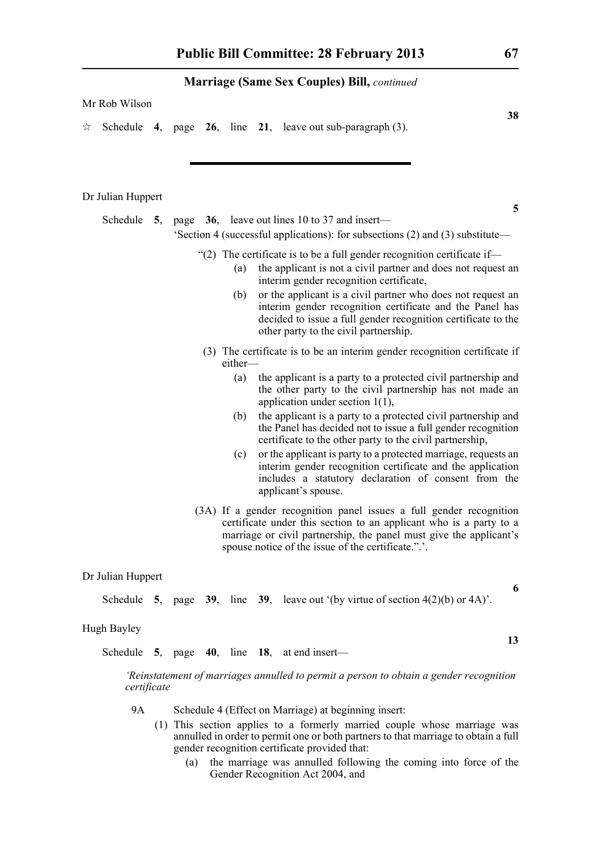|  | Mr Rob Wilson |  |  |
|--|---------------|--|--|
|--|---------------|--|--|

 $\approx$  Schedule **4**, page **26**, line **21**, leave out sub-paragraph (3).

#### Dr Julian Huppert

Schedule **5**, page **36**, leave out lines 10 to 37 and insert— 'Section 4 (successful applications): for subsections (2) and (3) substitute—

- "(2) The certificate is to be a full gender recognition certificate if—
	- (a) the applicant is not a civil partner and does not request an interim gender recognition certificate,
	- (b) or the applicant is a civil partner who does not request an interim gender recognition certificate and the Panel has decided to issue a full gender recognition certificate to the other party to the civil partnership.
- (3) The certificate is to be an interim gender recognition certificate if either—
	- (a) the applicant is a party to a protected civil partnership and the other party to the civil partnership has not made an application under section 1(1),
	- (b) the applicant is a party to a protected civil partnership and the Panel has decided not to issue a full gender recognition certificate to the other party to the civil partnership,
	- (c) or the applicant is party to a protected marriage, requests an interim gender recognition certificate and the application includes a statutory declaration of consent from the applicant's spouse.
- (3A) If a gender recognition panel issues a full gender recognition certificate under this section to an applicant who is a party to a marriage or civil partnership, the panel must give the applicant's spouse notice of the issue of the certificate.".'.

#### Dr Julian Huppert

Schedule **5**, page **39**, line **39**, leave out '(by virtue of section  $4(2)(b)$  or  $4A$ )'.

#### Hugh Bayley

Schedule **5**, page **40**, line **18**, at end insert—

*'Reinstatement of marriages annulled to permit a person to obtain a gender recognition certificate*

- 9A Schedule 4 (Effect on Marriage) at beginning insert:
	- (1) This section applies to a formerly married couple whose marriage was annulled in order to permit one or both partners to that marriage to obtain a full gender recognition certificate provided that:
		- (a) the marriage was annulled following the coming into force of the Gender Recognition Act 2004, and

**38**

**5**

# **6**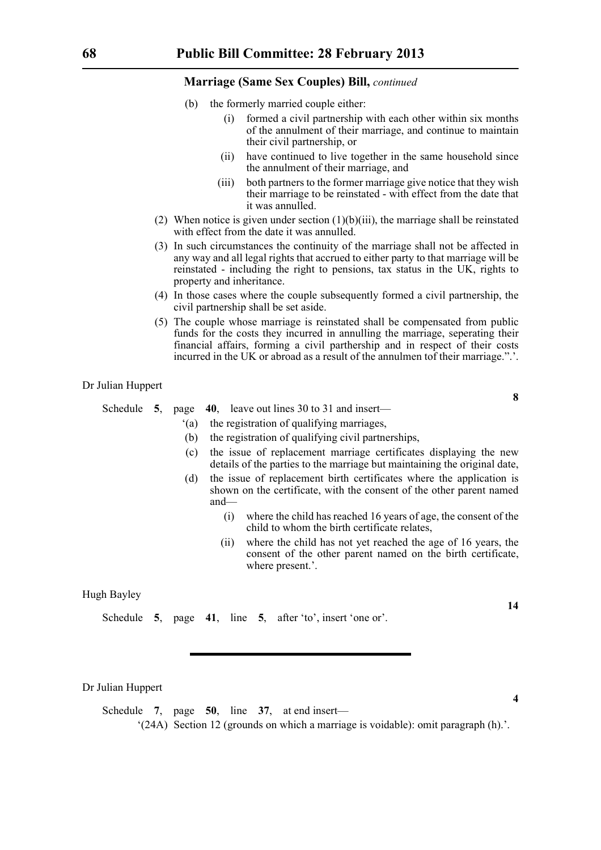- (b) the formerly married couple either:
	- (i) formed a civil partnership with each other within six months of the annulment of their marriage, and continue to maintain their civil partnership, or
	- (ii) have continued to live together in the same household since the annulment of their marriage, and
	- (iii) both partners to the former marriage give notice that they wish their marriage to be reinstated - with effect from the date that it was annulled.
- (2) When notice is given under section  $(1)(b)(iii)$ , the marriage shall be reinstated with effect from the date it was annulled.
- (3) In such circumstances the continuity of the marriage shall not be affected in any way and all legal rights that accrued to either party to that marriage will be reinstated - including the right to pensions, tax status in the UK, rights to property and inheritance.
- (4) In those cases where the couple subsequently formed a civil partnership, the civil partnership shall be set aside.
- (5) The couple whose marriage is reinstated shall be compensated from public funds for the costs they incurred in annulling the marriage, seperating their financial affairs, forming a civil parthership and in respect of their costs incurred in the UK or abroad as a result of the annulmen tof their marriage.".'.

Dr Julian Huppert

Schedule **5**, page **40**, leave out lines 30 to 31 and insert—

- '(a) the registration of qualifying marriages,
- (b) the registration of qualifying civil partnerships,
- (c) the issue of replacement marriage certificates displaying the new details of the parties to the marriage but maintaining the original date,
- (d) the issue of replacement birth certificates where the application is shown on the certificate, with the consent of the other parent named and—
	- (i) where the child has reached 16 years of age, the consent of the child to whom the birth certificate relates,
	- (ii) where the child has not yet reached the age of 16 years, the consent of the other parent named on the birth certificate, where present.'.

Hugh Bayley

Schedule **5**, page **41**, line **5**, after 'to', insert 'one or'.

Dr Julian Huppert

Schedule **7**, page **50**, line **37**, at end insert—

'(24A) Section 12 (grounds on which a marriage is voidable): omit paragraph (h).'.

**14**

**4**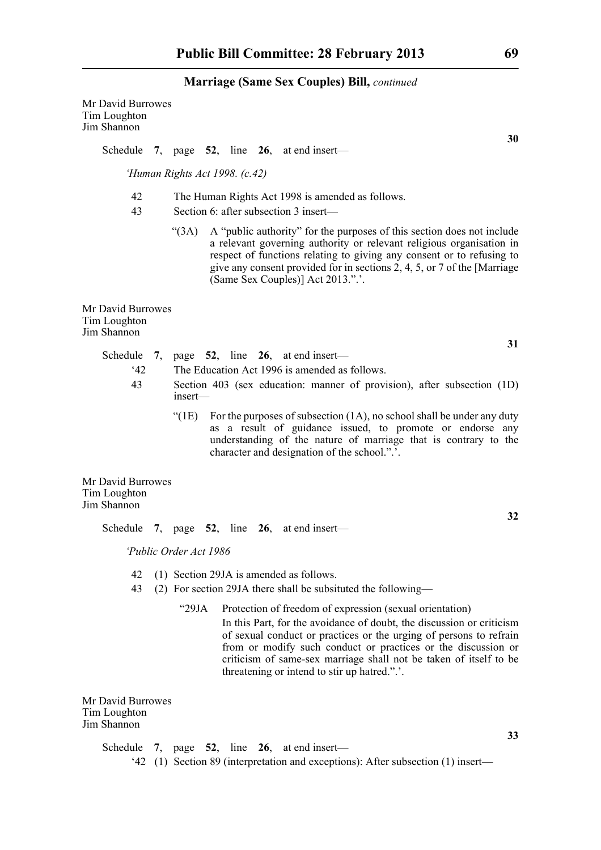| Mr David Burrowes<br>Tim Loughton<br>Jim Shannon |                                                                                                          |                                                                                                                                                                                                                                                           |  |  |                                                                                                                                                                                                                                                                                                                                          |  |
|--------------------------------------------------|----------------------------------------------------------------------------------------------------------|-----------------------------------------------------------------------------------------------------------------------------------------------------------------------------------------------------------------------------------------------------------|--|--|------------------------------------------------------------------------------------------------------------------------------------------------------------------------------------------------------------------------------------------------------------------------------------------------------------------------------------------|--|
|                                                  |                                                                                                          |                                                                                                                                                                                                                                                           |  |  | 30<br>Schedule 7, page $52$ , line $26$ , at end insert—                                                                                                                                                                                                                                                                                 |  |
|                                                  | 'Human Rights Act 1998. (c.42)                                                                           |                                                                                                                                                                                                                                                           |  |  |                                                                                                                                                                                                                                                                                                                                          |  |
| 42<br>43                                         | The Human Rights Act 1998 is amended as follows.<br>Section 6: after subsection 3 insert-                |                                                                                                                                                                                                                                                           |  |  |                                                                                                                                                                                                                                                                                                                                          |  |
|                                                  | (3A)                                                                                                     |                                                                                                                                                                                                                                                           |  |  | A "public authority" for the purposes of this section does not include<br>a relevant governing authority or relevant religious organisation in<br>respect of functions relating to giving any consent or to refusing to<br>give any consent provided for in sections 2, 4, 5, or 7 of the [Marriage<br>(Same Sex Couples)] Act 2013.".'. |  |
| Mr David Burrowes<br>Tim Loughton<br>Jim Shannon |                                                                                                          |                                                                                                                                                                                                                                                           |  |  |                                                                                                                                                                                                                                                                                                                                          |  |
| Schedule                                         |                                                                                                          |                                                                                                                                                                                                                                                           |  |  | 31<br>7, page $52$ , line $26$ , at end insert—                                                                                                                                                                                                                                                                                          |  |
| 42                                               |                                                                                                          |                                                                                                                                                                                                                                                           |  |  | The Education Act 1996 is amended as follows.                                                                                                                                                                                                                                                                                            |  |
| 43                                               | Section 403 (sex education: manner of provision), after subsection (1D)<br>$insert$ —                    |                                                                                                                                                                                                                                                           |  |  |                                                                                                                                                                                                                                                                                                                                          |  |
|                                                  | " $(1E)$                                                                                                 | For the purposes of subsection $(1A)$ , no school shall be under any duty<br>as a result of guidance issued, to promote or endorse any<br>understanding of the nature of marriage that is contrary to the<br>character and designation of the school.".'. |  |  |                                                                                                                                                                                                                                                                                                                                          |  |
| Mr David Burrowes<br>Tim Loughton<br>Jim Shannon |                                                                                                          |                                                                                                                                                                                                                                                           |  |  |                                                                                                                                                                                                                                                                                                                                          |  |
|                                                  |                                                                                                          |                                                                                                                                                                                                                                                           |  |  | 32<br>Schedule 7, page 52, line 26, at end insert-                                                                                                                                                                                                                                                                                       |  |
|                                                  | 'Public Order Act 1986                                                                                   |                                                                                                                                                                                                                                                           |  |  |                                                                                                                                                                                                                                                                                                                                          |  |
| 42<br>43                                         | (1) Section 29JA is amended as follows.<br>(2) For section 29JA there shall be subsituted the following— |                                                                                                                                                                                                                                                           |  |  |                                                                                                                                                                                                                                                                                                                                          |  |
|                                                  |                                                                                                          |                                                                                                                                                                                                                                                           |  |  |                                                                                                                                                                                                                                                                                                                                          |  |

"29JA Protection of freedom of expression (sexual orientation) In this Part, for the avoidance of doubt, the discussion or criticism of sexual conduct or practices or the urging of persons to refrain from or modify such conduct or practices or the discussion or criticism of same-sex marriage shall not be taken of itself to be threatening or intend to stir up hatred.".'.

Mr David Burrowes Tim Loughton Jim Shannon

> Schedule **7**, page **52**, line **26**, at end insert— '42 (1) Section 89 (interpretation and exceptions): After subsection (1) insert—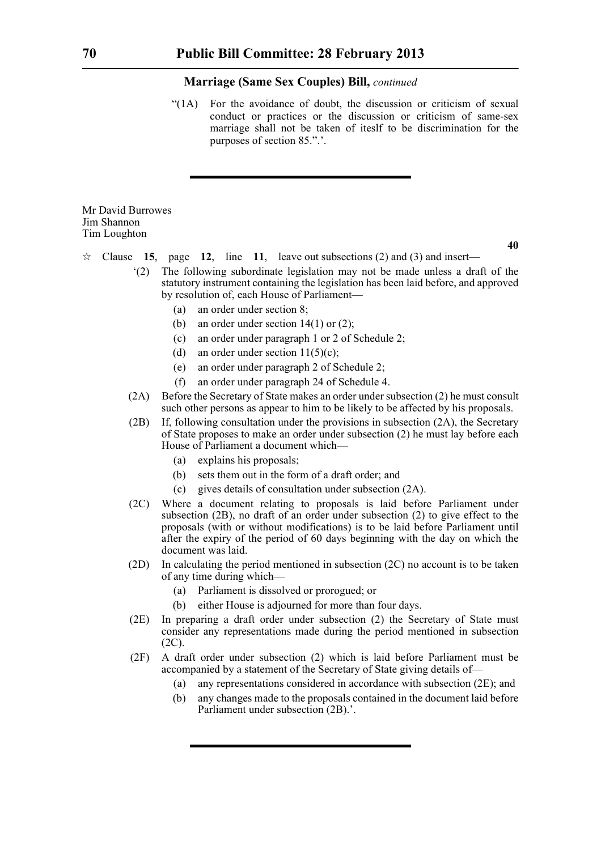"(1A) For the avoidance of doubt, the discussion or criticism of sexual conduct or practices or the discussion or criticism of same-sex marriage shall not be taken of iteslf to be discrimination for the purposes of section 85.".'.

#### Mr David Burrowes Jim Shannon Tim Loughton

- $\forall$  Clause **15**, page **12**, line **11**, leave out subsections (2) and (3) and insert—
	- '(2) The following subordinate legislation may not be made unless a draft of the statutory instrument containing the legislation has been laid before, and approved by resolution of, each House of Parliament—
		- (a) an order under section 8;
		- (b) an order under section  $14(1)$  or  $(2)$ ;
		- (c) an order under paragraph 1 or 2 of Schedule 2;
		- (d) an order under section  $11(5)(c)$ ;
		- (e) an order under paragraph 2 of Schedule 2;
		- (f) an order under paragraph 24 of Schedule 4.
	- (2A) Before the Secretary of State makes an order under subsection (2) he must consult such other persons as appear to him to be likely to be affected by his proposals.
	- (2B) If, following consultation under the provisions in subsection (2A), the Secretary of State proposes to make an order under subsection (2) he must lay before each House of Parliament a document which—
		- (a) explains his proposals;
		- (b) sets them out in the form of a draft order; and
		- (c) gives details of consultation under subsection (2A).
	- (2C) Where a document relating to proposals is laid before Parliament under subsection (2B), no draft of an order under subsection (2) to give effect to the proposals (with or without modifications) is to be laid before Parliament until after the expiry of the period of 60 days beginning with the day on which the document was laid.
	- (2D) In calculating the period mentioned in subsection (2C) no account is to be taken of any time during which—
		- (a) Parliament is dissolved or prorogued; or
		- (b) either House is adjourned for more than four days.
	- (2E) In preparing a draft order under subsection (2) the Secretary of State must consider any representations made during the period mentioned in subsection (2C).
	- (2F) A draft order under subsection (2) which is laid before Parliament must be accompanied by a statement of the Secretary of State giving details of—
		- (a) any representations considered in accordance with subsection (2E); and
		- (b) any changes made to the proposals contained in the document laid before Parliament under subsection (2B).'.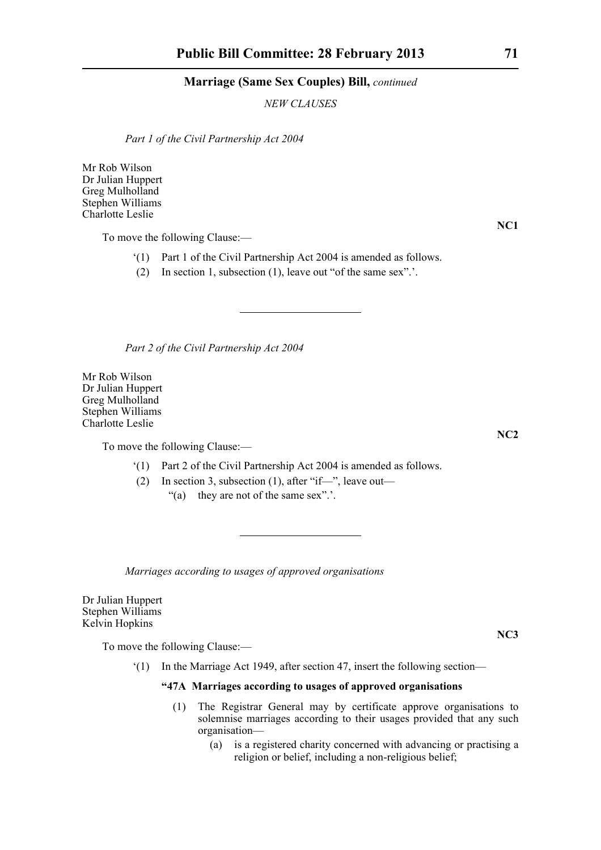*NEW CLAUSES*

*Part 1 of the Civil Partnership Act 2004*

Mr Rob Wilson Dr Julian Huppert Greg Mulholland Stephen Williams Charlotte Leslie

To move the following Clause:—

- '(1) Part 1 of the Civil Partnership Act 2004 is amended as follows.
- (2) In section 1, subsection (1), leave out "of the same sex".'.

*Part 2 of the Civil Partnership Act 2004*

Mr Rob Wilson Dr Julian Huppert Greg Mulholland Stephen Williams Charlotte Leslie

To move the following Clause:—

- '(1) Part 2 of the Civil Partnership Act 2004 is amended as follows.
- (2) In section 3, subsection (1), after "if—", leave out—
	- "(a) they are not of the same sex".'.

*Marriages according to usages of approved organisations*

Dr Julian Huppert Stephen Williams Kelvin Hopkins

To move the following Clause:—

'(1) In the Marriage Act 1949, after section 47, insert the following section—

#### **"47A Marriages according to usages of approved organisations**

- (1) The Registrar General may by certificate approve organisations to solemnise marriages according to their usages provided that any such organisation—
	- (a) is a registered charity concerned with advancing or practising a religion or belief, including a non-religious belief;

**NC1**

**NC2**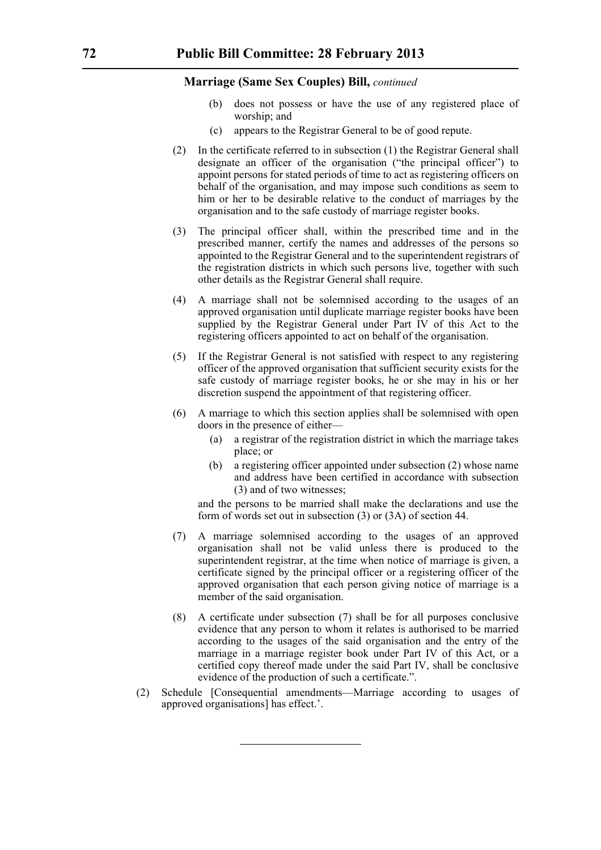- (b) does not possess or have the use of any registered place of worship; and
- (c) appears to the Registrar General to be of good repute.
- (2) In the certificate referred to in subsection (1) the Registrar General shall designate an officer of the organisation ("the principal officer") to appoint persons for stated periods of time to act as registering officers on behalf of the organisation, and may impose such conditions as seem to him or her to be desirable relative to the conduct of marriages by the organisation and to the safe custody of marriage register books.
- (3) The principal officer shall, within the prescribed time and in the prescribed manner, certify the names and addresses of the persons so appointed to the Registrar General and to the superintendent registrars of the registration districts in which such persons live, together with such other details as the Registrar General shall require.
- (4) A marriage shall not be solemnised according to the usages of an approved organisation until duplicate marriage register books have been supplied by the Registrar General under Part IV of this Act to the registering officers appointed to act on behalf of the organisation.
- (5) If the Registrar General is not satisfied with respect to any registering officer of the approved organisation that sufficient security exists for the safe custody of marriage register books, he or she may in his or her discretion suspend the appointment of that registering officer.
- (6) A marriage to which this section applies shall be solemnised with open doors in the presence of either—
	- (a) a registrar of the registration district in which the marriage takes place; or
	- (b) a registering officer appointed under subsection (2) whose name and address have been certified in accordance with subsection (3) and of two witnesses;

and the persons to be married shall make the declarations and use the form of words set out in subsection (3) or (3A) of section 44.

- (7) A marriage solemnised according to the usages of an approved organisation shall not be valid unless there is produced to the superintendent registrar, at the time when notice of marriage is given, a certificate signed by the principal officer or a registering officer of the approved organisation that each person giving notice of marriage is a member of the said organisation.
- (8) A certificate under subsection (7) shall be for all purposes conclusive evidence that any person to whom it relates is authorised to be married according to the usages of the said organisation and the entry of the marriage in a marriage register book under Part IV of this Act, or a certified copy thereof made under the said Part IV, shall be conclusive evidence of the production of such a certificate.".
- (2) Schedule [Consequential amendments—Marriage according to usages of approved organisations] has effect.'.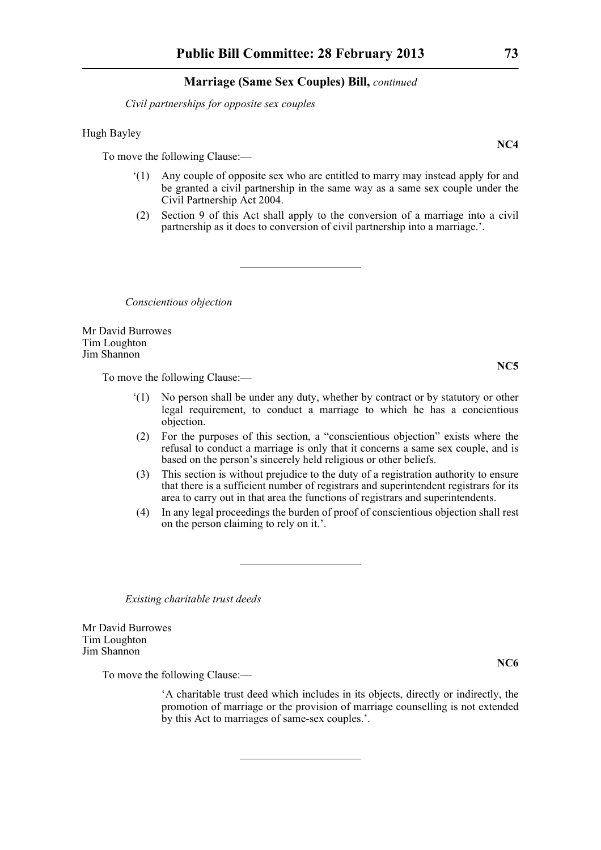*Civil partnerships for opposite sex couples*

#### Hugh Bayley

To move the following Clause:—

- '(1) Any couple of opposite sex who are entitled to marry may instead apply for and be granted a civil partnership in the same way as a same sex couple under the Civil Partnership Act 2004.
- (2) Section 9 of this Act shall apply to the conversion of a marriage into a civil partnership as it does to conversion of civil partnership into a marriage.'.

*Conscientious objection*

Mr David Burrowes Tim Loughton Jim Shannon

To move the following Clause:—

- '(1) No person shall be under any duty, whether by contract or by statutory or other legal requirement, to conduct a marriage to which he has a concientious objection.
- (2) For the purposes of this section, a "conscientious objection" exists where the refusal to conduct a marriage is only that it concerns a same sex couple, and is based on the person's sincerely held religious or other beliefs.
- (3) This section is without prejudice to the duty of a registration authority to ensure that there is a sufficient number of registrars and superintendent registrars for its area to carry out in that area the functions of registrars and superintendents.
- (4) In any legal proceedings the burden of proof of conscientious objection shall rest on the person claiming to rely on it.'.

*Existing charitable trust deeds*

Mr David Burrowes Tim Loughton Jim Shannon

To move the following Clause:—

'A charitable trust deed which includes in its objects, directly or indirectly, the promotion of marriage or the provision of marriage counselling is not extended by this Act to marriages of same-sex couples.'.

**NC4**

**NC5**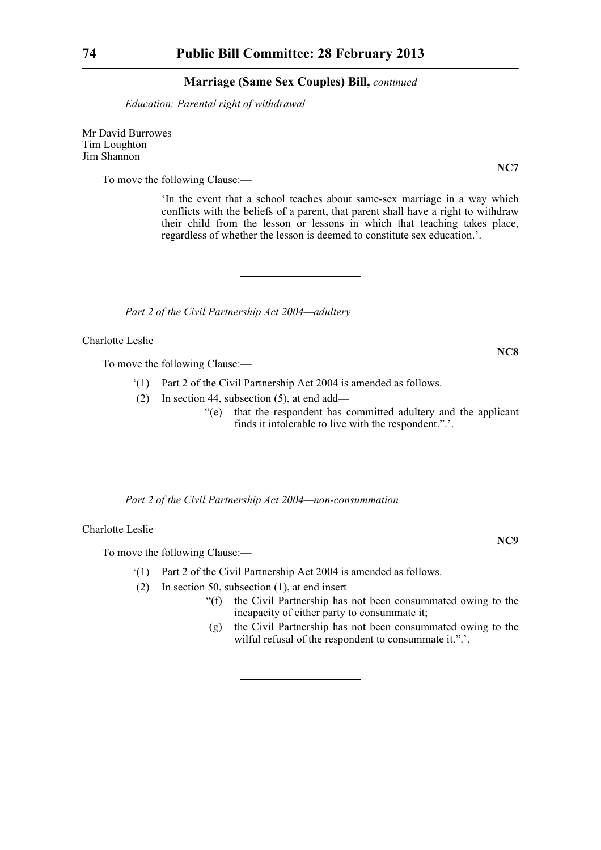*Education: Parental right of withdrawal*

Mr David Burrowes Tim Loughton Jim Shannon

To move the following Clause:—

'In the event that a school teaches about same-sex marriage in a way which conflicts with the beliefs of a parent, that parent shall have a right to withdraw their child from the lesson or lessons in which that teaching takes place, regardless of whether the lesson is deemed to constitute sex education.'.

*Part 2 of the Civil Partnership Act 2004—adultery*

Charlotte Leslie

To move the following Clause:—

- '(1) Part 2 of the Civil Partnership Act 2004 is amended as follows.
- (2) In section 44, subsection (5), at end add—
	- "(e) that the respondent has committed adultery and the applicant finds it intolerable to live with the respondent.".'.

*Part 2 of the Civil Partnership Act 2004—non-consummation*

Charlotte Leslie

To move the following Clause:—

- '(1) Part 2 of the Civil Partnership Act 2004 is amended as follows.
- (2) In section 50, subsection (1), at end insert—
	- "(f) the Civil Partnership has not been consummated owing to the incapacity of either party to consummate it;
	- (g) the Civil Partnership has not been consummated owing to the wilful refusal of the respondent to consummate it.".'.

**NC7**

**NC8**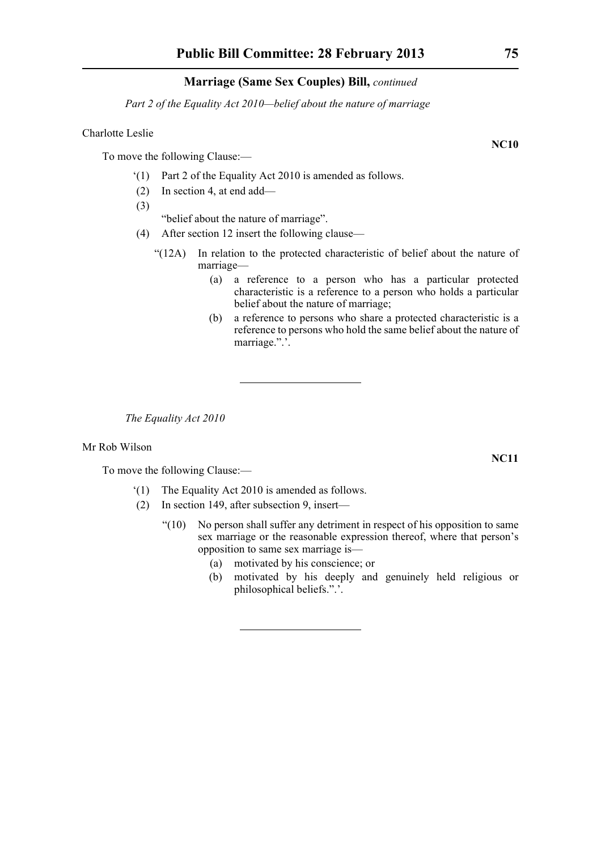*Part 2 of the Equality Act 2010—belief about the nature of marriage*

#### Charlotte Leslie

To move the following Clause:—

- '(1) Part 2 of the Equality Act 2010 is amended as follows.
- (2) In section 4, at end add—
- (3)

"belief about the nature of marriage".

- (4) After section 12 insert the following clause—
	- "(12A) In relation to the protected characteristic of belief about the nature of marriage—
		- (a) a reference to a person who has a particular protected characteristic is a reference to a person who holds a particular belief about the nature of marriage;
		- (b) a reference to persons who share a protected characteristic is a reference to persons who hold the same belief about the nature of marriage.".'.

*The Equality Act 2010*

#### Mr Rob Wilson

To move the following Clause:—

- '(1) The Equality Act 2010 is amended as follows.
- (2) In section 149, after subsection 9, insert—
	- "(10) No person shall suffer any detriment in respect of his opposition to same sex marriage or the reasonable expression thereof, where that person's opposition to same sex marriage is—
		- (a) motivated by his conscience; or
		- (b) motivated by his deeply and genuinely held religious or philosophical beliefs.".'.

**NC10**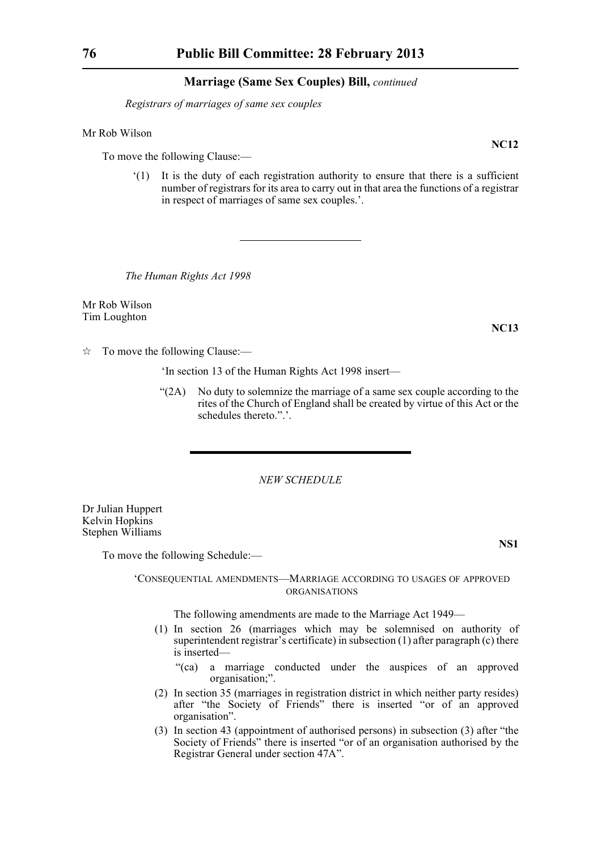*Registrars of marriages of same sex couples*

Mr Rob Wilson

To move the following Clause:—

'(1) It is the duty of each registration authority to ensure that there is a sufficient number of registrars for its area to carry out in that area the functions of a registrar in respect of marriages of same sex couples.'.

*The Human Rights Act 1998*

Mr Rob Wilson Tim Loughton

**NC13**

 $\hat{\mathbb{R}}$  To move the following Clause:—

'In section 13 of the Human Rights Act 1998 insert—

"(2A) No duty to solemnize the marriage of a same sex couple according to the rites of the Church of England shall be created by virtue of this Act or the schedules thereto.".'.

*NEW SCHEDULE*

Dr Julian Huppert Kelvin Hopkins Stephen Williams

**NS1**

To move the following Schedule:—

#### 'CONSEQUENTIAL AMENDMENTS—MARRIAGE ACCORDING TO USAGES OF APPROVED ORGANISATIONS

The following amendments are made to the Marriage Act 1949—

- (1) In section 26 (marriages which may be solemnised on authority of superintendent registrar's certificate) in subsection (1) after paragraph (c) there is inserted—
	- "(ca) a marriage conducted under the auspices of an approved organisation;".
- (2) In section 35 (marriages in registration district in which neither party resides) after "the Society of Friends" there is inserted "or of an approved organisation".
- (3) In section 43 (appointment of authorised persons) in subsection (3) after "the Society of Friends" there is inserted "or of an organisation authorised by the Registrar General under section 47A".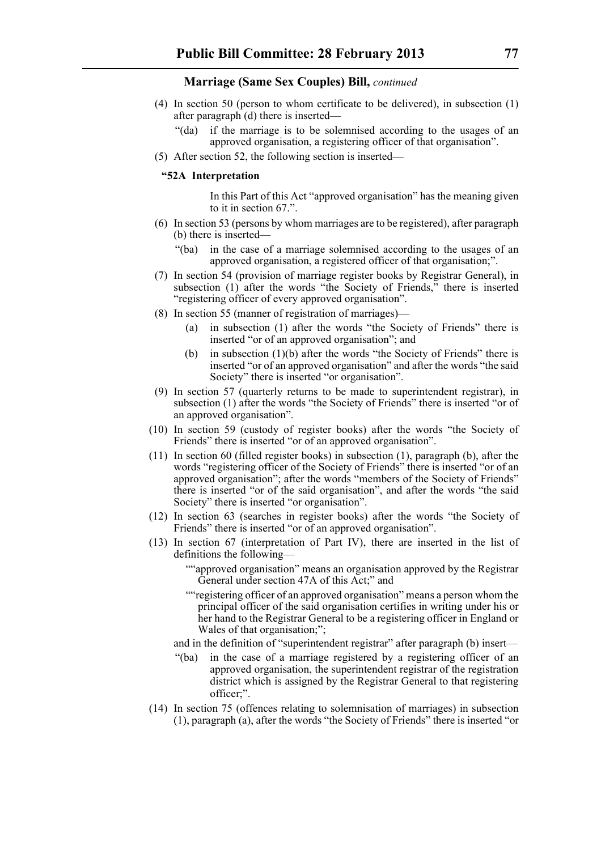- (4) In section 50 (person to whom certificate to be delivered), in subsection (1) after paragraph (d) there is inserted—
	- "(da) if the marriage is to be solemnised according to the usages of an approved organisation, a registering officer of that organisation".
- (5) After section 52, the following section is inserted—

#### **"52A Interpretation**

In this Part of this Act "approved organisation" has the meaning given to it in section 67.".

- (6) In section 53 (persons by whom marriages are to be registered), after paragraph (b) there is inserted—
	- "(ba) in the case of a marriage solemnised according to the usages of an approved organisation, a registered officer of that organisation;".
- (7) In section 54 (provision of marriage register books by Registrar General), in subsection (1) after the words "the Society of Friends," there is inserted "registering officer of every approved organisation".
- (8) In section 55 (manner of registration of marriages)—
	- (a) in subsection (1) after the words "the Society of Friends" there is inserted "or of an approved organisation"; and
	- (b) in subsection (1)(b) after the words "the Society of Friends" there is inserted "or of an approved organisation" and after the words "the said Society" there is inserted "or organisation".
- (9) In section 57 (quarterly returns to be made to superintendent registrar), in subsection (1) after the words "the Society of Friends" there is inserted "or of an approved organisation".
- (10) In section 59 (custody of register books) after the words "the Society of Friends" there is inserted "or of an approved organisation".
- (11) In section 60 (filled register books) in subsection (1), paragraph (b), after the words "registering officer of the Society of Friends" there is inserted "or of an approved organisation"; after the words "members of the Society of Friends" there is inserted "or of the said organisation", and after the words "the said Society" there is inserted "or organisation".
- (12) In section 63 (searches in register books) after the words "the Society of Friends" there is inserted "or of an approved organisation".
- (13) In section 67 (interpretation of Part IV), there are inserted in the list of definitions the following—
	- ""approved organisation" means an organisation approved by the Registrar General under section 47A of this Act;" and
	- ""registering officer of an approved organisation" means a person whom the principal officer of the said organisation certifies in writing under his or her hand to the Registrar General to be a registering officer in England or Wales of that organisation;";
	- and in the definition of "superintendent registrar" after paragraph (b) insert—
	- "(ba) in the case of a marriage registered by a registering officer of an approved organisation, the superintendent registrar of the registration district which is assigned by the Registrar General to that registering officer;".
- (14) In section 75 (offences relating to solemnisation of marriages) in subsection (1), paragraph (a), after the words "the Society of Friends" there is inserted "or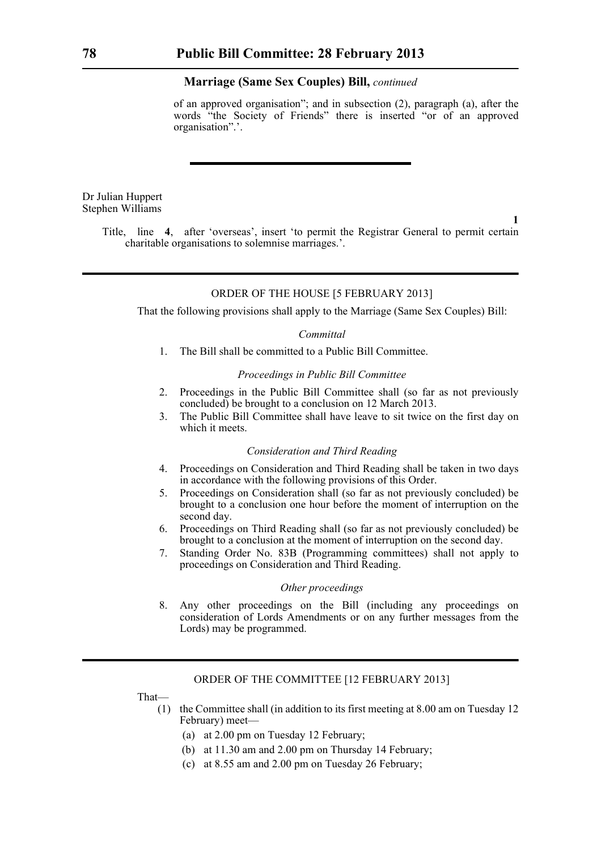of an approved organisation"; and in subsection (2), paragraph (a), after the words "the Society of Friends" there is inserted "or of an approved organisation".'.

Dr Julian Huppert Stephen Williams

**1**

Title, line **4**, after 'overseas', insert 'to permit the Registrar General to permit certain charitable organisations to solemnise marriages.'.

#### ORDER OF THE HOUSE [5 FEBRUARY 2013]

That the following provisions shall apply to the Marriage (Same Sex Couples) Bill:

#### *Committal*

1. The Bill shall be committed to a Public Bill Committee.

#### *Proceedings in Public Bill Committee*

- 2. Proceedings in the Public Bill Committee shall (so far as not previously concluded) be brought to a conclusion on 12 March 2013.
- 3. The Public Bill Committee shall have leave to sit twice on the first day on which it meets.

#### *Consideration and Third Reading*

- 4. Proceedings on Consideration and Third Reading shall be taken in two days in accordance with the following provisions of this Order.
- 5. Proceedings on Consideration shall (so far as not previously concluded) be brought to a conclusion one hour before the moment of interruption on the second day.
- 6. Proceedings on Third Reading shall (so far as not previously concluded) be brought to a conclusion at the moment of interruption on the second day.
- 7. Standing Order No. 83B (Programming committees) shall not apply to proceedings on Consideration and Third Reading.

#### *Other proceedings*

8. Any other proceedings on the Bill (including any proceedings on consideration of Lords Amendments or on any further messages from the Lords) may be programmed.

#### ORDER OF THE COMMITTEE [12 FEBRUARY 2013]

That—

- (1) the Committee shall (in addition to its first meeting at 8.00 am on Tuesday 12 February) meet—
	- (a) at 2.00 pm on Tuesday 12 February;
	- (b) at 11.30 am and 2.00 pm on Thursday 14 February;
	- (c) at 8.55 am and 2.00 pm on Tuesday 26 February;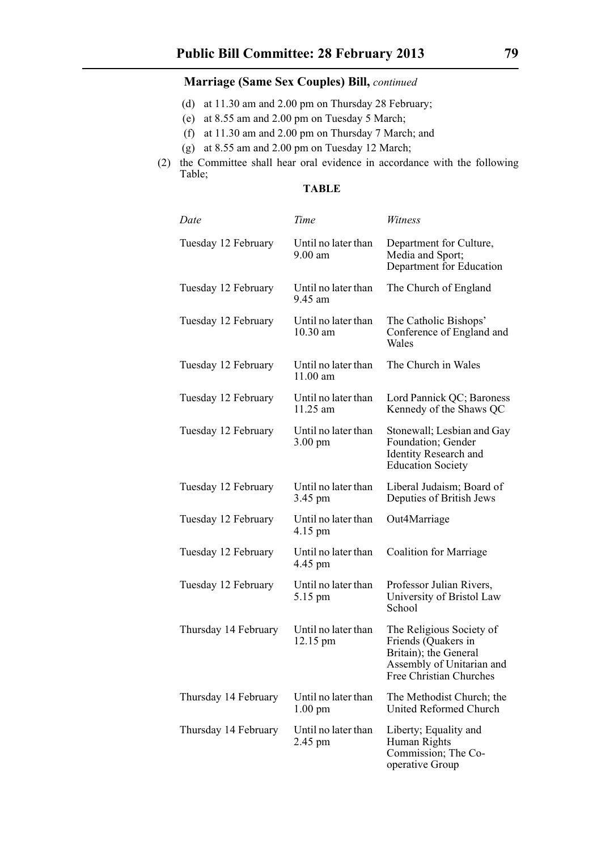- (d) at 11.30 am and 2.00 pm on Thursday 28 February;
- (e) at 8.55 am and 2.00 pm on Tuesday 5 March;
- (f) at 11.30 am and 2.00 pm on Thursday 7 March; and
- (g) at 8.55 am and 2.00 pm on Tuesday 12 March;
- (2) the Committee shall hear oral evidence in accordance with the following Table;

### **TABLE**

| Date                 | Time                                     | Witness                                                                                                                          |
|----------------------|------------------------------------------|----------------------------------------------------------------------------------------------------------------------------------|
| Tuesday 12 February  | Until no later than<br>$9.00$ am         | Department for Culture,<br>Media and Sport;<br>Department for Education                                                          |
| Tuesday 12 February  | Until no later than<br>9.45 am           | The Church of England                                                                                                            |
| Tuesday 12 February  | Until no later than<br>10.30 am          | The Catholic Bishops'<br>Conference of England and<br>Wales                                                                      |
| Tuesday 12 February  | Until no later than<br>11.00 am          | The Church in Wales                                                                                                              |
| Tuesday 12 February  | Until no later than<br>11.25 am          | Lord Pannick QC; Baroness<br>Kennedy of the Shaws QC                                                                             |
| Tuesday 12 February  | Until no later than<br>$3.00 \text{ pm}$ | Stonewall; Lesbian and Gay<br>Foundation; Gender<br><b>Identity Research and</b><br><b>Education Society</b>                     |
| Tuesday 12 February  | Until no later than<br>3.45 pm           | Liberal Judaism; Board of<br>Deputies of British Jews                                                                            |
| Tuesday 12 February  | Until no later than<br>4.15 pm           | Out4Marriage                                                                                                                     |
| Tuesday 12 February  | Until no later than<br>4.45 pm           | Coalition for Marriage                                                                                                           |
| Tuesday 12 February  | Until no later than<br>5.15 pm           | Professor Julian Rivers,<br>University of Bristol Law<br>School                                                                  |
| Thursday 14 February | Until no later than<br>12.15 pm          | The Religious Society of<br>Friends (Quakers in<br>Britain); the General<br>Assembly of Unitarian and<br>Free Christian Churches |
| Thursday 14 February | Until no later than<br>$1.00 \text{ pm}$ | The Methodist Church; the<br><b>United Reformed Church</b>                                                                       |
| Thursday 14 February | Until no later than<br>2.45 pm           | Liberty; Equality and<br>Human Rights<br>Commission; The Co-<br>operative Group                                                  |